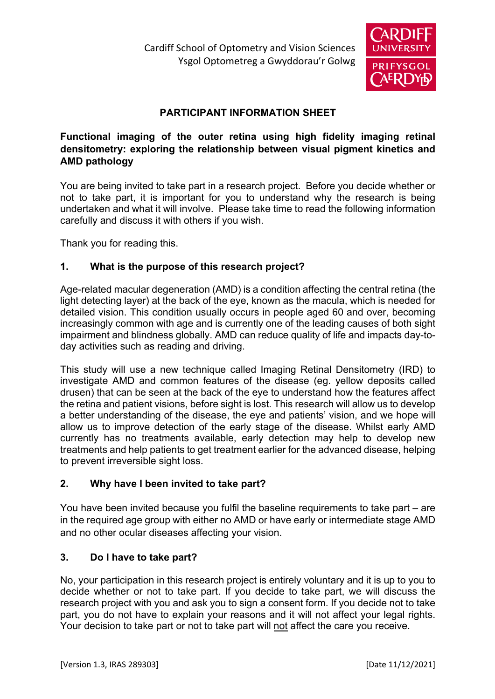

# **PARTICIPANT INFORMATION SHEET**

## **Functional imaging of the outer retina using high fidelity imaging retinal densitometry: exploring the relationship between visual pigment kinetics and AMD pathology**

You are being invited to take part in a research project. Before you decide whether or not to take part, it is important for you to understand why the research is being undertaken and what it will involve. Please take time to read the following information carefully and discuss it with others if you wish.

Thank you for reading this.

#### **1. What is the purpose of this research project?**

Age-related macular degeneration (AMD) is a condition affecting the central retina (the light detecting layer) at the back of the eye, known as the macula, which is needed for detailed vision. This condition usually occurs in people aged 60 and over, becoming increasingly common with age and is currently one of the leading causes of both sight impairment and blindness globally. AMD can reduce quality of life and impacts day-today activities such as reading and driving.

This study will use a new technique called Imaging Retinal Densitometry (IRD) to investigate AMD and common features of the disease (eg. yellow deposits called drusen) that can be seen at the back of the eye to understand how the features affect the retina and patient visions, before sight is lost. This research will allow us to develop a better understanding of the disease, the eye and patients' vision, and we hope will allow us to improve detection of the early stage of the disease. Whilst early AMD currently has no treatments available, early detection may help to develop new treatments and help patients to get treatment earlier for the advanced disease, helping to prevent irreversible sight loss.

## **2. Why have I been invited to take part?**

You have been invited because you fulfil the baseline requirements to take part – are in the required age group with either no AMD or have early or intermediate stage AMD and no other ocular diseases affecting your vision.

#### **3. Do I have to take part?**

No, your participation in this research project is entirely voluntary and it is up to you to decide whether or not to take part. If you decide to take part, we will discuss the research project with you and ask you to sign a consent form. If you decide not to take part, you do not have to explain your reasons and it will not affect your legal rights. Your decision to take part or not to take part will not affect the care you receive.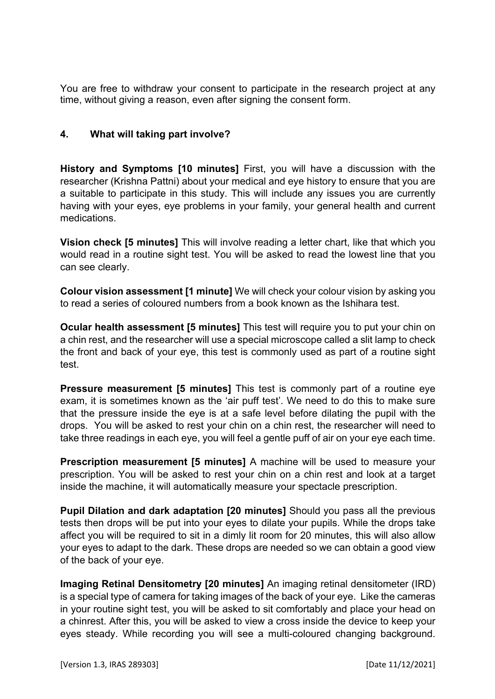You are free to withdraw your consent to participate in the research project at any time, without giving a reason, even after signing the consent form.

#### **4. What will taking part involve?**

**History and Symptoms [10 minutes]** First, you will have a discussion with the researcher (Krishna Pattni) about your medical and eye history to ensure that you are a suitable to participate in this study. This will include any issues you are currently having with your eyes, eye problems in your family, your general health and current medications.

**Vision check [5 minutes]** This will involve reading a letter chart, like that which you would read in a routine sight test. You will be asked to read the lowest line that you can see clearly.

**Colour vision assessment [1 minute]** We will check your colour vision by asking you to read a series of coloured numbers from a book known as the Ishihara test.

**Ocular health assessment [5 minutes]** This test will require you to put your chin on a chin rest, and the researcher will use a special microscope called a slit lamp to check the front and back of your eye, this test is commonly used as part of a routine sight test.

**Pressure measurement [5 minutes]** This test is commonly part of a routine eye exam, it is sometimes known as the 'air puff test'. We need to do this to make sure that the pressure inside the eye is at a safe level before dilating the pupil with the drops. You will be asked to rest your chin on a chin rest, the researcher will need to take three readings in each eye, you will feel a gentle puff of air on your eye each time.

**Prescription measurement [5 minutes]** A machine will be used to measure your prescription. You will be asked to rest your chin on a chin rest and look at a target inside the machine, it will automatically measure your spectacle prescription.

**Pupil Dilation and dark adaptation [20 minutes]** Should you pass all the previous tests then drops will be put into your eyes to dilate your pupils. While the drops take affect you will be required to sit in a dimly lit room for 20 minutes, this will also allow your eyes to adapt to the dark. These drops are needed so we can obtain a good view of the back of your eye.

**Imaging Retinal Densitometry [20 minutes]** An imaging retinal densitometer (IRD) is a special type of camera for taking images of the back of your eye. Like the cameras in your routine sight test, you will be asked to sit comfortably and place your head on a chinrest. After this, you will be asked to view a cross inside the device to keep your eyes steady. While recording you will see a multi-coloured changing background.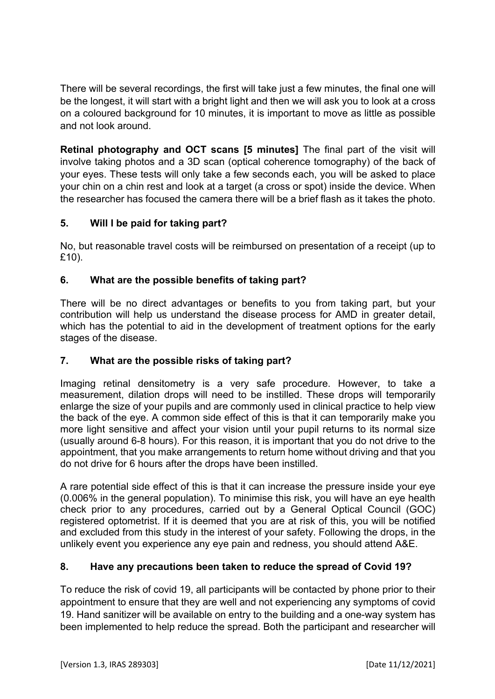There will be several recordings, the first will take just a few minutes, the final one will be the longest, it will start with a bright light and then we will ask you to look at a cross on a coloured background for 10 minutes, it is important to move as little as possible and not look around.

**Retinal photography and OCT scans [5 minutes]** The final part of the visit will involve taking photos and a 3D scan (optical coherence tomography) of the back of your eyes. These tests will only take a few seconds each, you will be asked to place your chin on a chin rest and look at a target (a cross or spot) inside the device. When the researcher has focused the camera there will be a brief flash as it takes the photo.

# **5. Will I be paid for taking part?**

No, but reasonable travel costs will be reimbursed on presentation of a receipt (up to £10).

# **6. What are the possible benefits of taking part?**

There will be no direct advantages or benefits to you from taking part, but your contribution will help us understand the disease process for AMD in greater detail, which has the potential to aid in the development of treatment options for the early stages of the disease.

## **7. What are the possible risks of taking part?**

Imaging retinal densitometry is a very safe procedure. However, to take a measurement, dilation drops will need to be instilled. These drops will temporarily enlarge the size of your pupils and are commonly used in clinical practice to help view the back of the eye. A common side effect of this is that it can temporarily make you more light sensitive and affect your vision until your pupil returns to its normal size (usually around 6-8 hours). For this reason, it is important that you do not drive to the appointment, that you make arrangements to return home without driving and that you do not drive for 6 hours after the drops have been instilled.

A rare potential side effect of this is that it can increase the pressure inside your eye (0.006% in the general population). To minimise this risk, you will have an eye health check prior to any procedures, carried out by a General Optical Council (GOC) registered optometrist. If it is deemed that you are at risk of this, you will be notified and excluded from this study in the interest of your safety. Following the drops, in the unlikely event you experience any eye pain and redness, you should attend A&E.

## **8. Have any precautions been taken to reduce the spread of Covid 19?**

To reduce the risk of covid 19, all participants will be contacted by phone prior to their appointment to ensure that they are well and not experiencing any symptoms of covid 19. Hand sanitizer will be available on entry to the building and a one-way system has been implemented to help reduce the spread. Both the participant and researcher will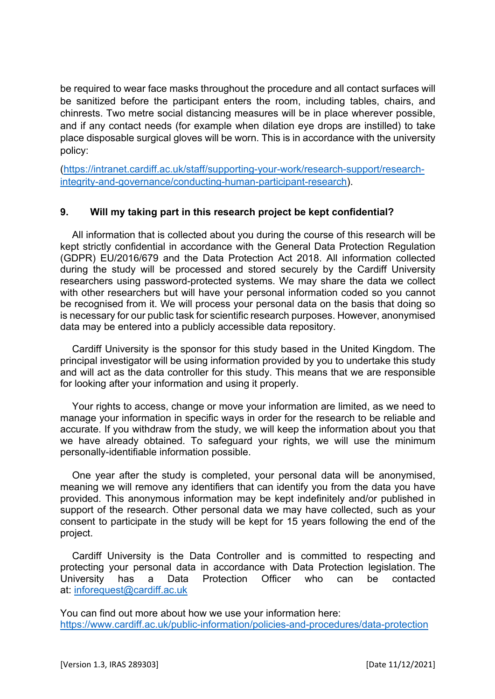be required to wear face masks throughout the procedure and all contact surfaces will be sanitized before the participant enters the room, including tables, chairs, and chinrests. Two metre social distancing measures will be in place wherever possible, and if any contact needs (for example when dilation eye drops are instilled) to take place disposable surgical gloves will be worn. This is in accordance with the university policy:

(https://intranet.cardiff.ac.uk/staff/supporting-your-work/research-support/researchintegrity-and-governance/conducting-human-participant-research).

#### **9. Will my taking part in this research project be kept confidential?**

All information that is collected about you during the course of this research will be kept strictly confidential in accordance with the General Data Protection Regulation (GDPR) EU/2016/679 and the Data Protection Act 2018. All information collected during the study will be processed and stored securely by the Cardiff University researchers using password-protected systems. We may share the data we collect with other researchers but will have your personal information coded so you cannot be recognised from it. We will process your personal data on the basis that doing so is necessary for our public task for scientific research purposes. However, anonymised data may be entered into a publicly accessible data repository.

Cardiff University is the sponsor for this study based in the United Kingdom. The principal investigator will be using information provided by you to undertake this study and will act as the data controller for this study. This means that we are responsible for looking after your information and using it properly.

Your rights to access, change or move your information are limited, as we need to manage your information in specific ways in order for the research to be reliable and accurate. If you withdraw from the study, we will keep the information about you that we have already obtained. To safeguard your rights, we will use the minimum personally-identifiable information possible.

One year after the study is completed, your personal data will be anonymised, meaning we will remove any identifiers that can identify you from the data you have provided. This anonymous information may be kept indefinitely and/or published in support of the research. Other personal data we may have collected, such as your consent to participate in the study will be kept for 15 years following the end of the project.

Cardiff University is the Data Controller and is committed to respecting and protecting your personal data in accordance with Data Protection legislation. The University has a Data Protection Officer who can be contacted at: inforequest@cardiff.ac.uk

You can find out more about how we use your information here: https://www.cardiff.ac.uk/public-information/policies-and-procedures/data-protection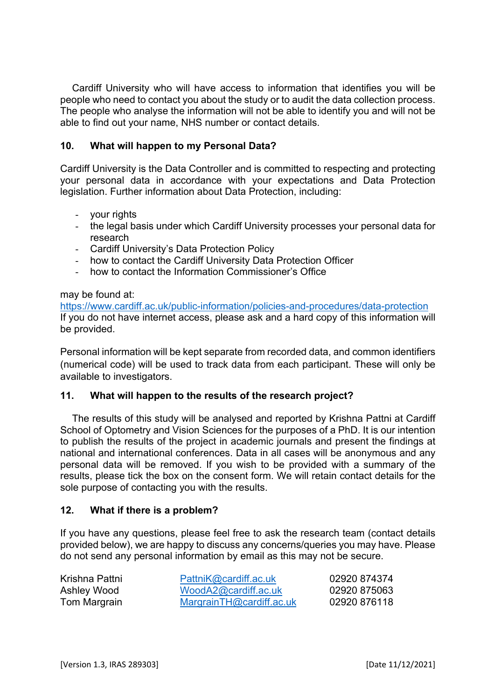Cardiff University who will have access to information that identifies you will be people who need to contact you about the study or to audit the data collection process. The people who analyse the information will not be able to identify you and will not be able to find out your name, NHS number or contact details.

#### **10. What will happen to my Personal Data?**

Cardiff University is the Data Controller and is committed to respecting and protecting your personal data in accordance with your expectations and Data Protection legislation. Further information about Data Protection, including:

- your rights
- the legal basis under which Cardiff University processes your personal data for research
- Cardiff University's Data Protection Policy
- how to contact the Cardiff University Data Protection Officer
- how to contact the Information Commissioner's Office

#### may be found at:

https://www.cardiff.ac.uk/public-information/policies-and-procedures/data-protection If you do not have internet access, please ask and a hard copy of this information will be provided.

Personal information will be kept separate from recorded data, and common identifiers (numerical code) will be used to track data from each participant. These will only be available to investigators.

#### **11. What will happen to the results of the research project?**

The results of this study will be analysed and reported by Krishna Pattni at Cardiff School of Optometry and Vision Sciences for the purposes of a PhD. It is our intention to publish the results of the project in academic journals and present the findings at national and international conferences. Data in all cases will be anonymous and any personal data will be removed. If you wish to be provided with a summary of the results, please tick the box on the consent form. We will retain contact details for the sole purpose of contacting you with the results.

#### **12. What if there is a problem?**

If you have any questions, please feel free to ask the research team (contact details provided below), we are happy to discuss any concerns/queries you may have. Please do not send any personal information by email as this may not be secure.

| Krishna Pattni | PattniK@cardiff.ac.uk    | 02920 874374 |
|----------------|--------------------------|--------------|
| Ashley Wood    | WoodA2@cardiff.ac.uk     | 02920 875063 |
| Tom Margrain   | MargrainTH@cardiff.ac.uk | 02920 876118 |